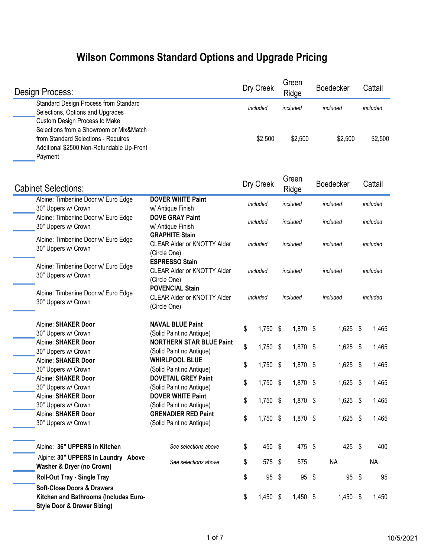## **Wilson Commons Standard Options and Upgrade Pricing**

| <b>Design Process:</b>                                                                                                                                                  |                                                                              |                      | Dry Creek       |    | Green<br>Ridge | <b>Boedecker</b> |          | Cattail   |
|-------------------------------------------------------------------------------------------------------------------------------------------------------------------------|------------------------------------------------------------------------------|----------------------|-----------------|----|----------------|------------------|----------|-----------|
| Standard Design Process from Standard<br>Selections, Options and Upgrades                                                                                               |                                                                              |                      | included        |    | included       | included         |          | included  |
| Custom Design Process to Make<br>Selections from a Showroom or Mix&Match<br>from Standard Selections - Requires<br>Additional \$2500 Non-Refundable Up-Front<br>Payment |                                                                              |                      | \$2,500         |    | \$2,500        | \$2,500          |          | \$2,500   |
| <b>Cabinet Selections:</b>                                                                                                                                              |                                                                              |                      | Dry Creek       |    | Green<br>Ridge | <b>Boedecker</b> |          | Cattail   |
| Alpine: Timberline Door w/ Euro Edge                                                                                                                                    | <b>DOVER WHITE Paint</b>                                                     |                      | included        |    | included       | included         |          | included  |
| 30" Uppers w/ Crown<br>Alpine: Timberline Door w/ Euro Edge                                                                                                             | w/ Antique Finish<br><b>DOVE GRAY Paint</b>                                  | included             |                 |    | included       | included         |          | included  |
| 30" Uppers w/ Crown<br>Alpine: Timberline Door w/ Euro Edge                                                                                                             | w/ Antique Finish<br><b>GRAPHITE Stain</b>                                   |                      |                 |    |                |                  |          |           |
| 30" Uppers w/ Crown                                                                                                                                                     | <b>CLEAR Alder or KNOTTY Alder</b><br>(Circle One)                           | included<br>included |                 |    |                | included         | included |           |
| Alpine: Timberline Door w/ Euro Edge<br>30" Uppers w/ Crown                                                                                                             | <b>ESPRESSO Stain</b><br><b>CLEAR Alder or KNOTTY Alder</b><br>(Circle One)  | included<br>included |                 |    |                | included         |          | included  |
| Alpine: Timberline Door w/ Euro Edge<br>30" Uppers w/ Crown                                                                                                             | <b>POVENCIAL Stain</b><br><b>CLEAR Alder or KNOTTY Alder</b><br>(Circle One) | included             |                 |    | included       | included         |          | included  |
| Alpine: SHAKER Door                                                                                                                                                     | <b>NAVAL BLUE Paint</b>                                                      | \$                   | 1,750 \$        |    | 1,870 \$       | 1,625 \$         |          | 1,465     |
| 30" Uppers w/ Crown<br>Alpine: SHAKER Door                                                                                                                              | (Solid Paint no Antique)<br><b>NORTHERN STAR BLUE Paint</b>                  |                      |                 |    |                |                  |          |           |
| 30" Uppers w/ Crown                                                                                                                                                     | (Solid Paint no Antique)                                                     | \$                   | $1,750$ \$      |    | 1,870 \$       | $1,625$ \$       |          | 1,465     |
| Alpine: SHAKER Door<br>30" Uppers w/ Crown                                                                                                                              | <b>WHIRLPOOL BLUE</b><br>(Solid Paint no Antique)                            | \$                   | $1,750$ \$      |    | 1,870 \$       | $1,625$ \$       |          | 1,465     |
| Alpine: SHAKER Door<br>30" Uppers w/ Crown                                                                                                                              | <b>DOVETAIL GREY Paint</b><br>(Solid Paint no Antique)                       | \$                   | 1,750           | \$ | 1,870 \$       | $1,625$ \$       |          | 1,465     |
| Alpine: SHAKER Door<br>30" Uppers w/ Crown                                                                                                                              | <b>DOVER WHITE Paint</b><br>(Solid Paint no Antique)                         | \$                   | 1,750 \$        |    | 1,870 \$       | 1,625 \$         |          | 1,465     |
| Alpine: SHAKER Door<br>30" Uppers w/ Crown                                                                                                                              | <b>GRENADIER RED Paint</b><br>(Solid Paint no Antique)                       | \$                   | $1,750$ \$      |    | 1,870 \$       | 1,625 \$         |          | 1,465     |
| Alpine: 36" UPPERS in Kitchen                                                                                                                                           | See selections above                                                         | \$                   | 450 \$          |    | 475 \$         | 425 \$           |          | 400       |
| Alpine: 30" UPPERS in Laundry Above<br><b>Washer &amp; Dryer (no Crown)</b>                                                                                             | See selections above                                                         | \$                   | 575 \$          |    | 575            | <b>NA</b>        |          | <b>NA</b> |
| <b>Roll-Out Tray - Single Tray</b>                                                                                                                                      |                                                                              | \$                   | $95 \text{ } $$ |    | 95 \$          | $95$ \$          |          | 95        |
| <b>Soft-Close Doors &amp; Drawers</b><br>Kitchen and Bathrooms (Includes Euro-<br><b>Style Door &amp; Drawer Sizing)</b>                                                |                                                                              | \$                   | 1,450 \$        |    | 1,450 \$       | $1,450$ \$       |          | 1,450     |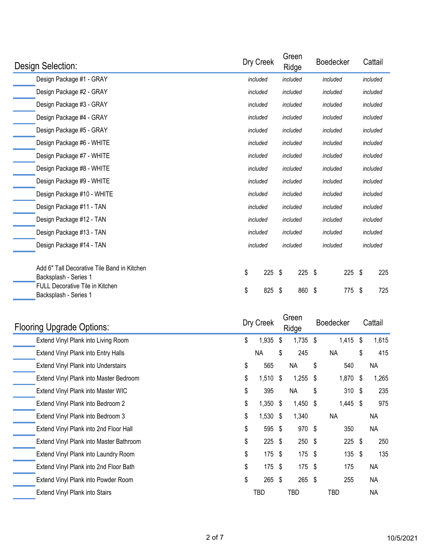| Design Selection:                                                                                              | Dry Creek |          | Green    | Ridge    |          | <b>Boedecker</b> |     | Cattail  |          |  |
|----------------------------------------------------------------------------------------------------------------|-----------|----------|----------|----------|----------|------------------|-----|----------|----------|--|
| Design Package #1 - GRAY                                                                                       |           | included |          | included |          | included         |     | included |          |  |
| Design Package #2 - GRAY                                                                                       | included  |          | included |          |          | included         |     | included |          |  |
| Design Package #3 - GRAY                                                                                       | included  |          | included |          |          | included         |     | included |          |  |
| Design Package #4 - GRAY                                                                                       | included  |          | included |          |          | included         |     | included |          |  |
| Design Package #5 - GRAY                                                                                       | included  |          | included |          |          | included         |     | included |          |  |
| Design Package #6 - WHITE                                                                                      | included  |          | included |          |          | included         |     | included |          |  |
| Design Package #7 - WHITE                                                                                      | included  |          | included |          |          | included         |     | included |          |  |
| Design Package #8 - WHITE                                                                                      |           | included |          | included |          | included         |     |          | included |  |
| Design Package #9 - WHITE                                                                                      | included  |          | included |          |          | included         |     | included |          |  |
| Design Package #10 - WHITE                                                                                     | included  |          | included |          | included |                  |     | included |          |  |
| Design Package #11 - TAN                                                                                       | included  |          |          | included |          | included         |     | included |          |  |
| Design Package #12 - TAN                                                                                       | included  |          | included |          | included |                  |     | included |          |  |
| Design Package #13 - TAN                                                                                       | included  |          | included |          |          | included         |     |          | included |  |
| Design Package #14 - TAN                                                                                       |           | included |          | included | included |                  |     | included |          |  |
| Add 6" Tall Decorative Tile Band in Kitchen<br>Backsplash - Series 1<br><b>FULL Decorative Tile in Kitchen</b> | \$        | 225      | \$       | $225$ \$ |          |                  | 225 | - \$     | 225      |  |
| Backsplash - Series 1                                                                                          | \$        | 825      | \$       | 860 \$   |          |                  | 775 | S        | 725      |  |

| <b>Flooring Upgrade Options:</b>        | Dry Creek |          |     |            |     |            |    |           |  |  |  |  |  | Green<br>Ridge |  | <b>Boedecker</b> |  | Cattail |
|-----------------------------------------|-----------|----------|-----|------------|-----|------------|----|-----------|--|--|--|--|--|----------------|--|------------------|--|---------|
| Extend Vinyl Plank into Living Room     | \$        | 1,935    | \$  | 1,735 \$   |     | 1,415      | Ŝ. | 1,615     |  |  |  |  |  |                |  |                  |  |         |
| Extend Vinyl Plank into Entry Halls     |           | NA.      | \$  | 245        |     | <b>NA</b>  | \$ | 415       |  |  |  |  |  |                |  |                  |  |         |
| Extend Vinyl Plank into Understairs     | \$        | 565      |     | <b>NA</b>  | \$  | 540        |    | <b>NA</b> |  |  |  |  |  |                |  |                  |  |         |
| Extend Vinyl Plank into Master Bedroom  | \$        | 1,510    | \$  | 1,255      | -\$ | 1,870 \$   |    | 1,265     |  |  |  |  |  |                |  |                  |  |         |
| Extend Vinyl Plank into Master WIC      | \$        | 395      |     | <b>NA</b>  | \$  | 310S       |    | 235       |  |  |  |  |  |                |  |                  |  |         |
| Extend Vinyl Plank into Bedroom 2       | \$        | 1,350    | S   | $1,450$ \$ |     | $1,445$ \$ |    | 975       |  |  |  |  |  |                |  |                  |  |         |
| Extend Vinyl Plank into Bedroom 3       | \$        | 1,530 \$ |     | 1,340      |     | <b>NA</b>  |    | NА        |  |  |  |  |  |                |  |                  |  |         |
| Extend Vinyl Plank into 2nd Floor Hall  | \$        | 595      | -\$ | 970 \$     |     | 350        |    | <b>NA</b> |  |  |  |  |  |                |  |                  |  |         |
| Extend Vinyl Plank into Master Bathroom | \$        | $225$ \$ |     | $250$ \$   |     | $225$ \$   |    | 250       |  |  |  |  |  |                |  |                  |  |         |
| Extend Vinyl Plank into Laundry Room    | \$        | $175$ \$ |     | 175 \$     |     | $135$ \$   |    | 135       |  |  |  |  |  |                |  |                  |  |         |
| Extend Vinyl Plank into 2nd Floor Bath  | \$        | 175      | -\$ | $175$ \$   |     | 175        |    | <b>NA</b> |  |  |  |  |  |                |  |                  |  |         |
| Extend Vinyl Plank into Powder Room     | \$        | $265$ \$ |     | 265 \$     |     | 255        |    | <b>NA</b> |  |  |  |  |  |                |  |                  |  |         |
| Extend Vinyl Plank into Stairs          |           | TBD      |     | TBD        |     | TBD        |    | <b>NA</b> |  |  |  |  |  |                |  |                  |  |         |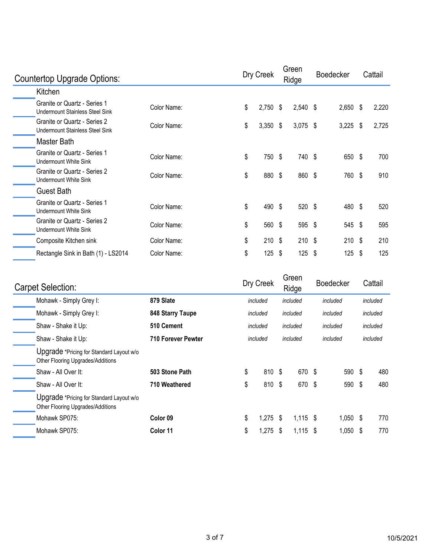| Countertop Upgrade Options:                                            |             |    | Dry Creek |     |            |    | Green<br>Ridge |      | <b>Boedecker</b> |  | Cattail |
|------------------------------------------------------------------------|-------------|----|-----------|-----|------------|----|----------------|------|------------------|--|---------|
| Kitchen                                                                |             |    |           |     |            |    |                |      |                  |  |         |
| Granite or Quartz - Series 1<br><b>Undermount Stainless Steel Sink</b> | Color Name: | \$ | 2,750     | \$  | $2,540$ \$ |    | 2,650          | -\$  | 2,220            |  |         |
| Granite or Quartz - Series 2<br><b>Undermount Stainless Steel Sink</b> | Color Name: | \$ | 3,350     | \$  | $3,075$ \$ |    | 3,225          | -\$  | 2,725            |  |         |
| Master Bath                                                            |             |    |           |     |            |    |                |      |                  |  |         |
| Granite or Quartz - Series 1<br>Undermount White Sink                  | Color Name: | \$ | 750       | \$  | 740 \$     |    | 650            | \$   | 700              |  |         |
| Granite or Quartz - Series 2<br><b>Undermount White Sink</b>           | Color Name: | \$ | 880       | \$  | 860 \$     |    | 760            | \$   | 910              |  |         |
| Guest Bath                                                             |             |    |           |     |            |    |                |      |                  |  |         |
| Granite or Quartz - Series 1<br>Undermount White Sink                  | Color Name: | \$ | 490       | -\$ | 520 \$     |    | 480            | - \$ | 520              |  |         |
| Granite or Quartz - Series 2<br>Undermount White Sink                  | Color Name: | \$ | 560 \$    |     | 595 \$     |    | 545 \$         |      | 595              |  |         |
| Composite Kitchen sink                                                 | Color Name: | \$ | $210$ \$  |     | $210$ \$   |    | $210$ \$       |      | 210              |  |         |
| Rectangle Sink in Bath (1) - LS2014                                    | Color Name: | \$ | 125       | -\$ | 125        | \$ | 125            | -\$  | 125              |  |         |

| <b>Carpet Selection:</b>                                                      |                           | Dry Creek        | Green<br>Ridge   | <b>Boedecker</b> |      | Cattail  |
|-------------------------------------------------------------------------------|---------------------------|------------------|------------------|------------------|------|----------|
| Mohawk - Simply Grey I:                                                       | 879 Slate                 | included         | included         | included         |      | included |
| Mohawk - Simply Grey I:                                                       | 848 Starry Taupe          | included         | included         | included         |      | included |
| Shaw - Shake it Up:                                                           | 510 Cement                | included         | included         | included         |      | included |
| Shaw - Shake it Up:                                                           | <b>710 Forever Pewter</b> | included         | included         | included         |      | included |
| Upgrade *Pricing for Standard Layout w/o<br>Other Flooring Upgrades/Additions |                           |                  |                  |                  |      |          |
| Shaw - All Over It:                                                           | 503 Stone Path            | \$<br>810 \$     | 670 \$           | 590 \$           |      | 480      |
| Shaw - All Over It:                                                           | 710 Weathered             | \$<br>810 \$     | 670 \$           | 590              | - \$ | 480      |
| Upgrade *Pricing for Standard Layout w/o<br>Other Flooring Upgrades/Additions |                           |                  |                  |                  |      |          |
| Mohawk SP075:                                                                 | Color <sub>09</sub>       | \$<br>$1,275$ \$ | $1,115$ \$       | $1,050$ \$       |      | 770      |
| Mohawk SP075:                                                                 | Color 11                  | \$<br>1,275      | \$<br>$1,115$ \$ | $1,050$ \$       |      | 770      |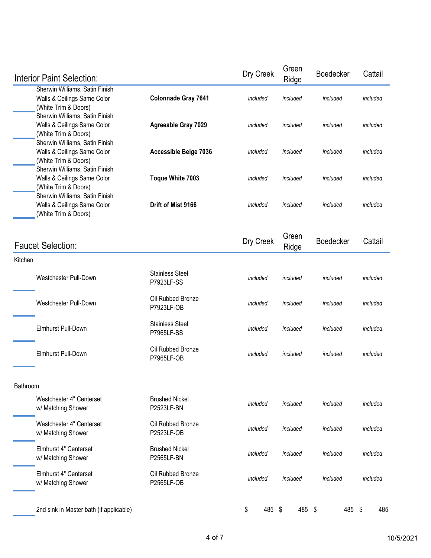| <b>Interior Paint Selection:</b>                                                                                        |                                             | Dry Creek    | Green<br>Ridge | Boedecker        | Cattail  |  |  |
|-------------------------------------------------------------------------------------------------------------------------|---------------------------------------------|--------------|----------------|------------------|----------|--|--|
| Sherwin Williams, Satin Finish<br>Walls & Ceilings Same Color<br>(White Trim & Doors)                                   | Colonnade Gray 7641                         | included     | included       | included         | included |  |  |
| Sherwin Williams, Satin Finish<br>Walls & Ceilings Same Color<br>(White Trim & Doors)                                   | <b>Agreeable Gray 7029</b>                  | included     | included       | included         | included |  |  |
| Sherwin Williams, Satin Finish<br>Walls & Ceilings Same Color<br>(White Trim & Doors)<br>Sherwin Williams, Satin Finish | <b>Accessible Beige 7036</b>                | included     | included       | included         | included |  |  |
| Walls & Ceilings Same Color<br>(White Trim & Doors)<br>Sherwin Williams, Satin Finish                                   | Toque White 7003                            | included     | included       | included         | included |  |  |
| Walls & Ceilings Same Color<br>(White Trim & Doors)                                                                     | Drift of Mist 9166                          | included     | included       | included         | included |  |  |
| <b>Faucet Selection:</b>                                                                                                |                                             | Dry Creek    | Green<br>Ridge | <b>Boedecker</b> | Cattail  |  |  |
| Kitchen                                                                                                                 |                                             |              |                |                  |          |  |  |
| Westchester Pull-Down                                                                                                   | <b>Stainless Steel</b><br>P7923LF-SS        | included     | included       | included         | included |  |  |
| Westchester Pull-Down                                                                                                   | Oil Rubbed Bronze<br>P7923LF-OB             | included     | included       | included         | included |  |  |
| Elmhurst Pull-Down                                                                                                      | <b>Stainless Steel</b><br><b>P7965LF-SS</b> | included     | included       | included         | included |  |  |
| Elmhurst Pull-Down                                                                                                      | Oil Rubbed Bronze<br>P7965LF-OB             | included     | included       | included         | included |  |  |
| Bathroom                                                                                                                |                                             |              |                |                  |          |  |  |
| Westchester 4" Centerset<br>w/ Matching Shower                                                                          | <b>Brushed Nickel</b><br>P2523LF-BN         | included     | included       | included         | included |  |  |
| Westchester 4" Centerset<br>w/ Matching Shower                                                                          | Oil Rubbed Bronze<br>P2523LF-OB             | included     | included       | included         | included |  |  |
| Elmhurst 4" Centerset<br>w/ Matching Shower                                                                             | <b>Brushed Nickel</b><br>P2565LF-BN         | included     | included       | included         | included |  |  |
| Elmhurst 4" Centerset<br>w/ Matching Shower                                                                             | Oil Rubbed Bronze<br>P2565LF-OB             | included     | included       | included         | included |  |  |
| 2nd sink in Master bath (if applicable)                                                                                 |                                             | \$<br>485 \$ | 485 \$         | 485 \$           | 485      |  |  |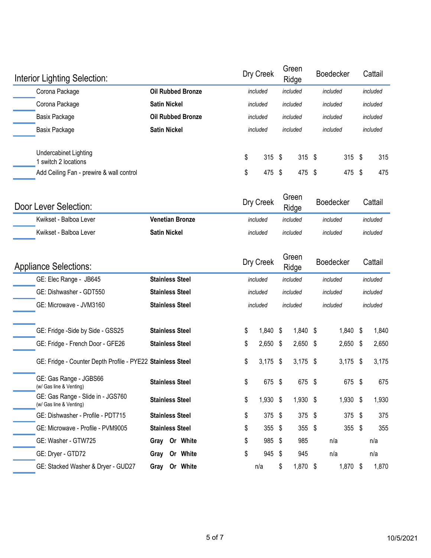| Interior Lighting Selection:                |                          | Dry Creek |                      |  | Green<br>Ridge |          | <b>Boedecker</b> |  | Cattail  |  |
|---------------------------------------------|--------------------------|-----------|----------------------|--|----------------|----------|------------------|--|----------|--|
| Corona Package                              | <b>Oil Rubbed Bronze</b> | included  |                      |  | included       |          | included         |  | included |  |
| Corona Package                              | <b>Satin Nickel</b>      |           | included<br>included |  |                | included |                  |  | included |  |
| <b>Basix Package</b>                        | <b>Oil Rubbed Bronze</b> | included  |                      |  | included       | included |                  |  | included |  |
| <b>Basix Package</b>                        | <b>Satin Nickel</b>      |           | included             |  | included       |          | included         |  | included |  |
| Undercabinet Lighting<br>switch 2 locations |                          | \$        | $315$ \$             |  | $315$ \$       |          | $315$ \$         |  | 315      |  |
| Add Ceiling Fan - prewire & wall control    |                          | \$        | 475 \$               |  | 475 \$         |          | 475 \$           |  | 475      |  |
|                                             |                          |           |                      |  | Graan          |          |                  |  |          |  |

| Door Lever Selection:  |                        | Dry Creek | uleell<br>Ridge | <b>Boedecker</b> | Cattail  |
|------------------------|------------------------|-----------|-----------------|------------------|----------|
| Kwikset - Balboa Lever | <b>Venetian Bronze</b> | included  | included        | included         | included |
| Kwikset - Balboa Lever | <b>Satin Nickel</b>    | included  | included        | included         | included |

| <b>Appliance Selections:</b>                                 |                        |          | Dry Creek            |          | Green<br>Ridge |          | <b>Boedecker</b> |     | Cattail  |
|--------------------------------------------------------------|------------------------|----------|----------------------|----------|----------------|----------|------------------|-----|----------|
| GE: Elec Range - JB645                                       | <b>Stainless Steel</b> |          | included             | included |                | included |                  |     | included |
| GE: Dishwasher - GDT550                                      | <b>Stainless Steel</b> |          | included             | included |                |          | included         |     | included |
| GE: Microwave - JVM3160                                      | <b>Stainless Steel</b> |          | included<br>included |          |                | included |                  |     | included |
| GE: Fridge -Side by Side - GSS25                             | <b>Stainless Steel</b> |          | \$<br>1,840          | -\$      | 1,840 \$       |          | 1,840 \$         |     | 1,840    |
| GE: Fridge - French Door - GFE26                             | <b>Stainless Steel</b> |          | \$<br>2,650          | \$       | $2,650$ \$     |          | $2,650$ \$       |     | 2,650    |
| GE: Fridge - Counter Depth Profile - PYE22 Stainless Steel   |                        |          | \$<br>$3,175$ \$     |          | $3,175$ \$     |          | $3,175$ \$       |     | 3,175    |
| GE: Gas Range - JGBS66<br>(w/ Gas line & Venting)            | <b>Stainless Steel</b> |          | \$<br>675 \$         |          | 675 \$         |          | 675 \$           |     | 675      |
| GE: Gas Range - Slide in - JGS760<br>(w/ Gas line & Venting) | <b>Stainless Steel</b> |          | \$<br>1,930          | \$       | 1,930 \$       |          | $1,930$ \$       |     | 1,930    |
| GE: Dishwasher - Profile - PDT715                            | <b>Stainless Steel</b> |          | \$<br>$375$ \$       |          | 375 \$         |          | $375$ \$         |     | 375      |
| GE: Microwave - Profile - PVM9005                            | <b>Stainless Steel</b> |          | \$<br>355            | -\$      | $355$ \$       |          | 355              | -\$ | 355      |
| GE: Washer - GTW725                                          | Gray                   | Or White | \$<br>985 \$         |          | 985            |          | n/a              |     | n/a      |
| GE: Dryer - GTD72                                            | Gray                   | Or White | \$<br>945 \$         |          | 945            |          | n/a              |     | n/a      |
| GE: Stacked Washer & Dryer - GUD27                           | Gray                   | Or White | n/a                  | \$       | 1,870 \$       |          | 1,870 \$         |     | 1,870    |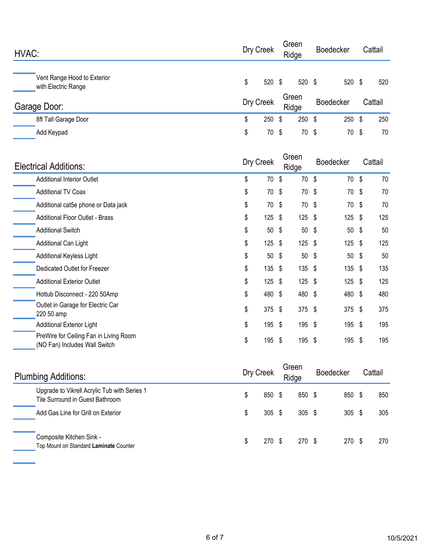| HVAC:                                              | Dry Creek |           |      | Green<br>Ridge | <b>Boedecker</b> |          | Cattail   |
|----------------------------------------------------|-----------|-----------|------|----------------|------------------|----------|-----------|
| Vent Range Hood to Exterior<br>with Electric Range | \$        | 520       | - \$ | 520 \$         |                  | 520      | \$<br>520 |
| Garage Door:                                       |           | Dry Creek |      | Green<br>Ridge | <b>Boedecker</b> |          | Cattail   |
| 8ft Tall Garage Door                               | \$        | 250       | \$   | $250$ \$       |                  | $250$ \$ | 250       |
| Add Keypad                                         | \$        | 70 \$     |      | 70 \$          |                  | 70 \$    | 70        |

| <b>Electrical Additions:</b>                                            | Dry Creek |          |    |                 |     |          |    |     |  |  |  |  |  |  |  |  |  |  |  |  | Green<br>Ridge |  | <b>Boedecker</b> |  | Cattail |  |
|-------------------------------------------------------------------------|-----------|----------|----|-----------------|-----|----------|----|-----|--|--|--|--|--|--|--|--|--|--|--|--|----------------|--|------------------|--|---------|--|
| <b>Additional Interior Outlet</b>                                       | \$        | 70 \$    |    | 70 \$           |     | 70 \$    |    | 70  |  |  |  |  |  |  |  |  |  |  |  |  |                |  |                  |  |         |  |
| <b>Additional TV Coax</b>                                               | \$        | 70 \$    |    | 70 \$           | 70  |          | \$ | 70  |  |  |  |  |  |  |  |  |  |  |  |  |                |  |                  |  |         |  |
| Additional cat5e phone or Data jack                                     | \$        | 70 \$    |    | 70 \$           | 70  | - \$     |    | 70  |  |  |  |  |  |  |  |  |  |  |  |  |                |  |                  |  |         |  |
| <b>Additional Floor Outlet - Brass</b>                                  | \$        | $125$ \$ |    | $125$ \$        |     | $125$ \$ |    | 125 |  |  |  |  |  |  |  |  |  |  |  |  |                |  |                  |  |         |  |
| <b>Additional Switch</b>                                                | \$        | $50*$    |    | 50 <sup>5</sup> |     | $50*$    |    | 50  |  |  |  |  |  |  |  |  |  |  |  |  |                |  |                  |  |         |  |
| Additional Can Light                                                    | \$        | $125$ \$ |    | $125$ \$        |     | $125$ \$ |    | 125 |  |  |  |  |  |  |  |  |  |  |  |  |                |  |                  |  |         |  |
| Additional Keyless Light                                                | \$        | $50*$    |    | 50 <sup>°</sup> |     | $50*$    |    | 50  |  |  |  |  |  |  |  |  |  |  |  |  |                |  |                  |  |         |  |
| Dedicated Outlet for Freezer                                            | \$        | $135$ \$ |    | $135$ \$        |     | $135$ \$ |    | 135 |  |  |  |  |  |  |  |  |  |  |  |  |                |  |                  |  |         |  |
| <b>Additional Exterior Outlet</b>                                       | \$        | $125$ \$ |    | $125$ \$        |     | $125$ \$ |    | 125 |  |  |  |  |  |  |  |  |  |  |  |  |                |  |                  |  |         |  |
| Hottub Disconnect - 220 50Amp                                           | \$        | 480 \$   |    | 480 \$          |     | 480 \$   |    | 480 |  |  |  |  |  |  |  |  |  |  |  |  |                |  |                  |  |         |  |
| Outlet in Garage for Electric Car<br>220 50 amp                         | \$        | $375$ \$ |    | 375 \$          |     | $375$ \$ |    | 375 |  |  |  |  |  |  |  |  |  |  |  |  |                |  |                  |  |         |  |
| <b>Additional Exterior Light</b>                                        | \$        | 195 \$   |    | 195 \$          |     | 195 \$   |    | 195 |  |  |  |  |  |  |  |  |  |  |  |  |                |  |                  |  |         |  |
| PreWire for Ceiling Fan in Living Room<br>(NO Fan) Includes Wall Switch | \$        | 195      | \$ | 195 \$          | 195 |          | S  | 195 |  |  |  |  |  |  |  |  |  |  |  |  |                |  |                  |  |         |  |

| <b>Plumbing Additions:</b>                                                      |    | Dry Creek         |  | Green<br>Ridge   | <b>Boedecker</b> |                  | Cattail |
|---------------------------------------------------------------------------------|----|-------------------|--|------------------|------------------|------------------|---------|
| Upgrade to Vikrell Acrylic Tub with Series 1<br>Tile Surround in Guest Bathroom | \$ | 850 \$            |  | 850 \$           |                  | 850 \$           | 850     |
| Add Gas Line for Grill on Exterior                                              | S  | $305 \text{ } $s$ |  | $305 \text{ } $$ |                  | 305 <sup>5</sup> | 305     |
| Composite Kitchen Sink -<br>Top Mount on Standard Laminate Counter              | S  | 270 \$            |  | 270S             |                  | 270 \$           | 270     |

÷,